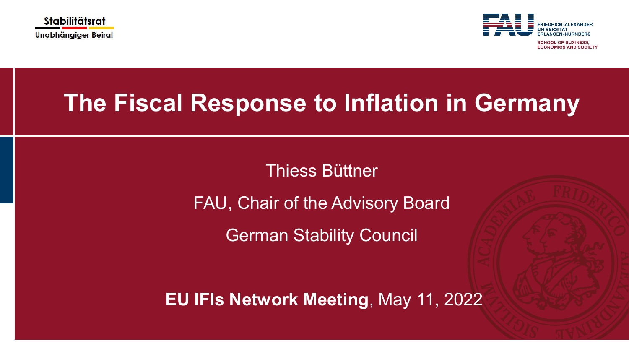



**SCHOOL OF BUSINESS ECONOMICS AND SOCIETY** 

# **The Fiscal Response to Inflation in Germany**

## Thiess Büttner

FAU, Chair of the Advisory Board

German Stability Council

**EU IFIs Network Meeting**, May 11, 2022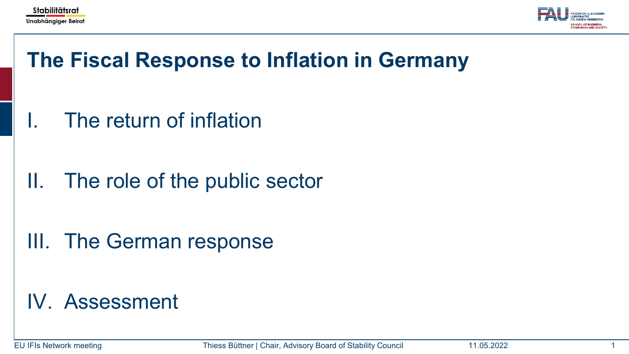



# **The Fiscal Response to Inflation in Germany**

The return of inflation

II. The role of the public sector

III. The German response

## IV. Assessment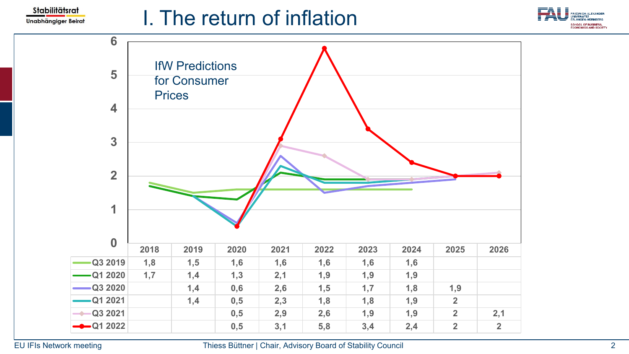

# I. The return of inflation



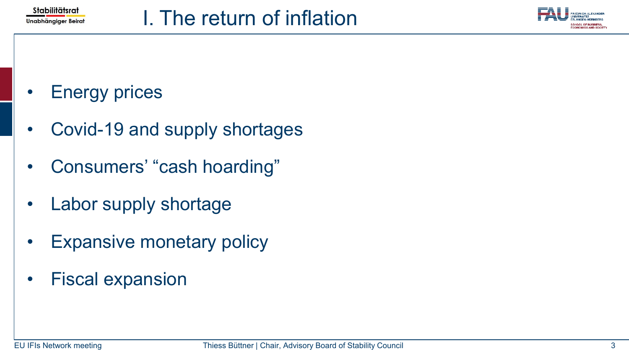



## **Energy prices**

- Covid-19 and supply shortages
- Consumers' "cash hoarding"
- Labor supply shortage
- Expansive monetary policy
- Fiscal expansion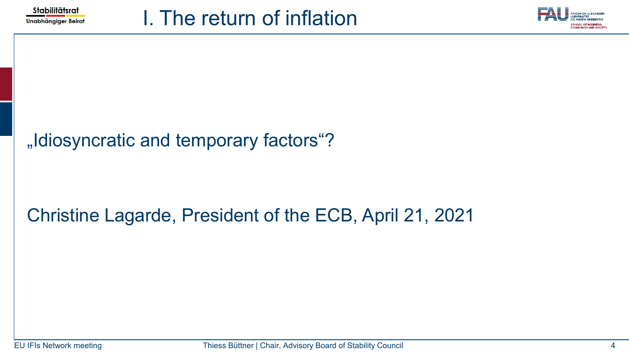



## "Idiosyncratic and temporary factors"?

## Christine Lagarde, President of the ECB, April 21, 2021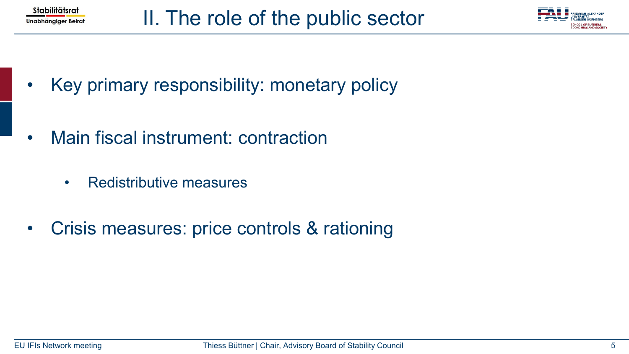



- Key primary responsibility: monetary policy
- Main fiscal instrument: contraction
	- Redistributive measures
- Crisis measures: price controls & rationing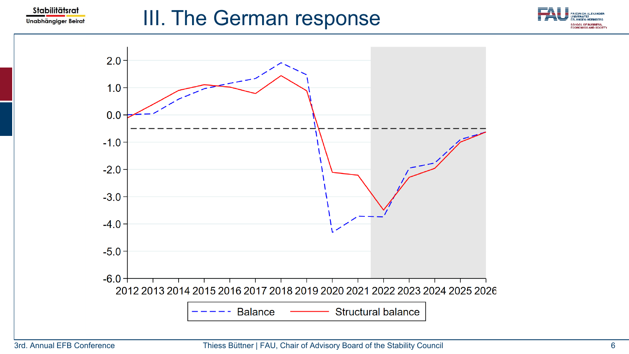

# III. The German response





#### 3rd. Annual EFB Conference Thiess Büttner | FAU, Chair of Advisory Board of the Stability Council 6 6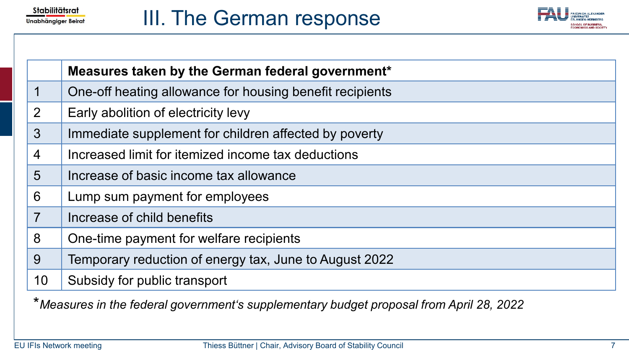



|                 | Measures taken by the German federal government*         |
|-----------------|----------------------------------------------------------|
| $\mathbf 1$     | One-off heating allowance for housing benefit recipients |
| 2               | Early abolition of electricity levy                      |
| $\mathbf{3}$    | Immediate supplement for children affected by poverty    |
| $\overline{4}$  | Increased limit for itemized income tax deductions       |
| $5\overline{)}$ | Increase of basic income tax allowance                   |
| $6\phantom{1}6$ | Lump sum payment for employees                           |
| $\overline{7}$  | Increase of child benefits                               |
| 8               | One-time payment for welfare recipients                  |
| 9               | Temporary reduction of energy tax, June to August 2022   |
| 10              | Subsidy for public transport                             |

\**Measures in the federal government's supplementary budget proposal from April 28, 2022*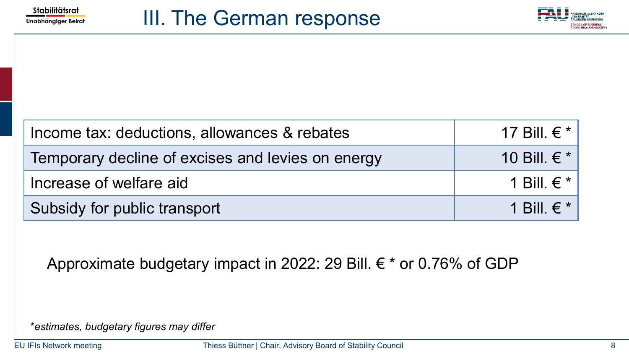



| Income tax: deductions, allowances & rebates      | 17 Bill. $\in$ * |
|---------------------------------------------------|------------------|
| Temporary decline of excises and levies on energy | 10 Bill. $\in$ * |
| Increase of welfare aid                           | 1 Bill. $\in$ *  |
| Subsidy for public transport                      | 1 Bill. $\in$ *  |

Approximate budgetary impact in 2022: 29 Bill. € \* or 0.76% of GDP

\**estimates, budgetary figures may differ*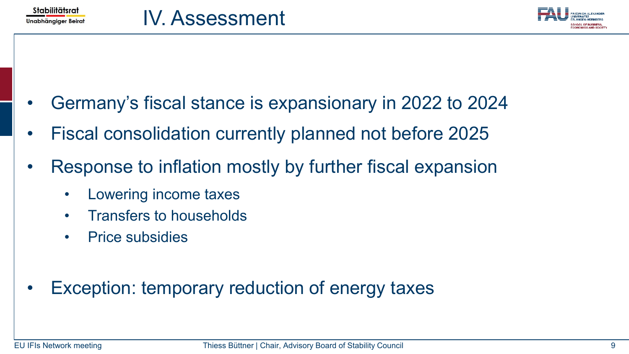

- Germany's fiscal stance is expansionary in 2022 to 2024
- Fiscal consolidation currently planned not before 2025
- Response to inflation mostly by further fiscal expansion
	- Lowering income taxes
	- Transfers to households
	- Price subsidies
- Exception: temporary reduction of energy taxes